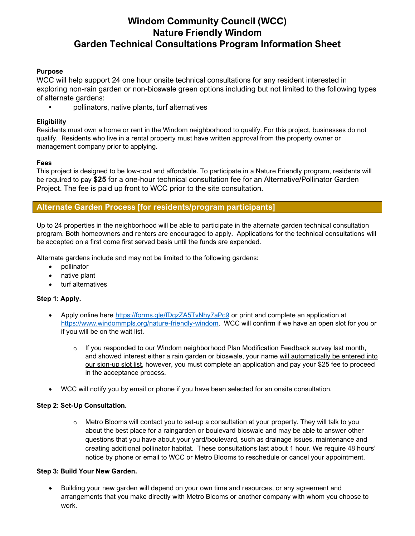# **Windom Community Council (WCC) Nature Friendly Windom Garden Technical Consultations Program Information Sheet**

### **Purpose**

WCC will help support 24 one hour onsite technical consultations for any resident interested in exploring non-rain garden or non-bioswale green options including but not limited to the following types of alternate gardens:

• pollinators, native plants, turf alternatives

### **Eligibility**

Residents must own a home or rent in the Windom neighborhood to qualify. For this project, businesses do not qualify. Residents who live in a rental property must have written approval from the property owner or management company prior to applying.

### **Fees**

This project is designed to be low-cost and affordable. To participate in a Nature Friendly program, residents will be required to pay **\$25** for a one-hour technical consultation fee for an Alternative/Pollinator Garden Project. The fee is paid up front to WCC prior to the site consultation.

### **Alternate Garden Process [for residents/program participants]**

Up to 24 properties in the neighborhood will be able to participate in the alternate garden technical consultation program. Both homeowners and renters are encouraged to apply. Applications for the technical consultations will be accepted on a first come first served basis until the funds are expended.

Alternate gardens include and may not be limited to the following gardens:

- pollinator
- native plant
- turf alternatives

### **Step 1: Apply.**

- Apply online here<https://forms.gle/fDqzZA5TvNhy7aPc9> or print and complete an application at [https://www.windommpls.org/nature-friendly-windom.](https://www.windommpls.org/nature-friendly-windom) WCC will confirm if we have an open slot for you or if you will be on the wait list.
	- $\circ$  If you responded to our Windom neighborhood Plan Modification Feedback survey last month, and showed interest either a rain garden or bioswale, your name will automatically be entered into our sign-up slot list, however, you must complete an application and pay your \$25 fee to proceed in the acceptance process.
- WCC will notify you by email or phone if you have been selected for an onsite consultation.

### **Step 2: Set-Up Consultation.**

 $\circ$  Metro Blooms will contact you to set-up a consultation at your property. They will talk to you about the best place for a raingarden or boulevard bioswale and may be able to answer other questions that you have about your yard/boulevard, such as drainage issues, maintenance and creating additional pollinator habitat. These consultations last about 1 hour. We require 48 hours' notice by phone or email to WCC or Metro Blooms to reschedule or cancel your appointment.

### **Step 3: Build Your New Garden.**

• Building your new garden will depend on your own time and resources, or any agreement and arrangements that you make directly with Metro Blooms or another company with whom you choose to work.